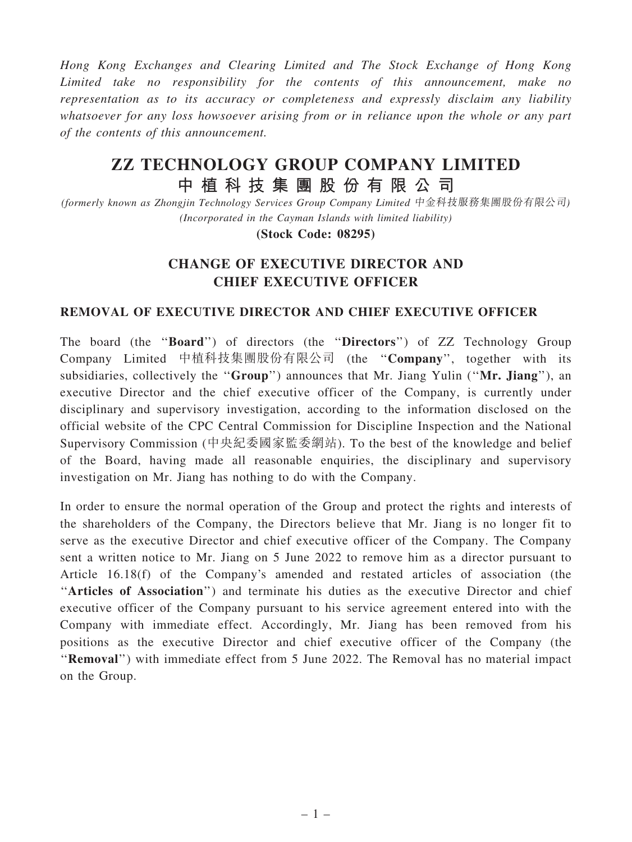Hong Kong Exchanges and Clearing Limited and The Stock Exchange of Hong Kong Limited take no responsibility for the contents of this announcement, make no representation as to its accuracy or completeness and expressly disclaim any liability whatsoever for any loss howsoever arising from or in reliance upon the whole or any part of the contents of this announcement.

## ZZ TECHNOLOGY GROUP COMPANY LIMITED 中 植 科 技 集 團 股 份 有 限 公 司

(formerly known as Zhongjin Technology Services Group Company Limited 中金科技服務集團股份有限公司) (Incorporated in the Cayman Islands with limited liability)

(Stock Code: 08295)

## CHANGE OF EXECUTIVE DIRECTOR AND CHIEF EXECUTIVE OFFICER

## REMOVAL OF EXECUTIVE DIRECTOR AND CHIEF EXECUTIVE OFFICER

The board (the ''Board'') of directors (the ''Directors'') of ZZ Technology Group Company Limited 中植科技集團股份有限公司 (the ''Company'', together with its subsidiaries, collectively the "Group") announces that Mr. Jiang Yulin ("Mr. Jiang"), an executive Director and the chief executive officer of the Company, is currently under disciplinary and supervisory investigation, according to the information disclosed on the official website of the CPC Central Commission for Discipline Inspection and the National Supervisory Commission (中央紀委國家監委網站). To the best of the knowledge and belief of the Board, having made all reasonable enquiries, the disciplinary and supervisory investigation on Mr. Jiang has nothing to do with the Company.

In order to ensure the normal operation of the Group and protect the rights and interests of the shareholders of the Company, the Directors believe that Mr. Jiang is no longer fit to serve as the executive Director and chief executive officer of the Company. The Company sent a written notice to Mr. Jiang on 5 June 2022 to remove him as a director pursuant to Article 16.18(f) of the Company's amended and restated articles of association (the "Articles of Association") and terminate his duties as the executive Director and chief executive officer of the Company pursuant to his service agreement entered into with the Company with immediate effect. Accordingly, Mr. Jiang has been removed from his positions as the executive Director and chief executive officer of the Company (the ''Removal'') with immediate effect from 5 June 2022. The Removal has no material impact on the Group.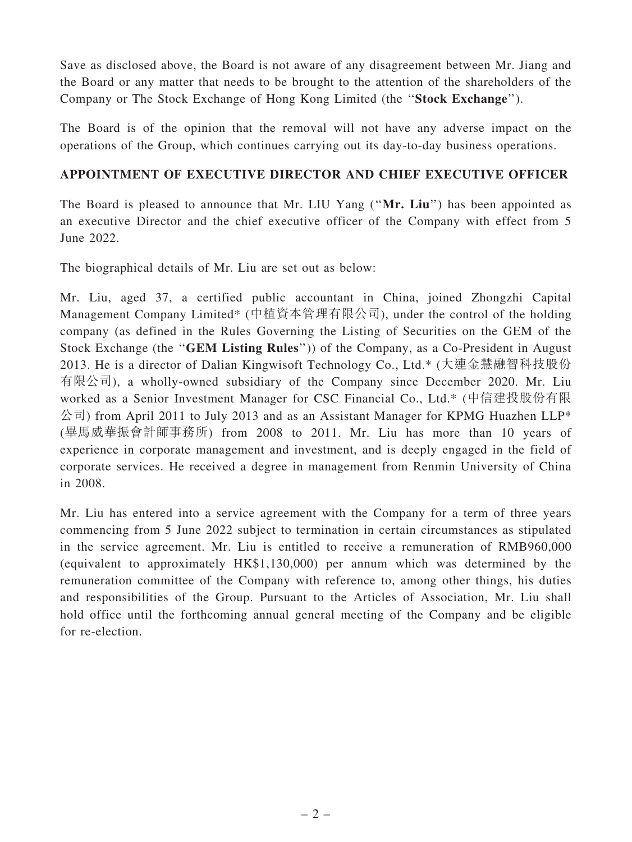Save as disclosed above, the Board is not aware of any disagreement between Mr. Jiang and the Board or any matter that needs to be brought to the attention of the shareholders of the Company or The Stock Exchange of Hong Kong Limited (the ''Stock Exchange'').

The Board is of the opinion that the removal will not have any adverse impact on the operations of the Group, which continues carrying out its day-to-day business operations.

## APPOINTMENT OF EXECUTIVE DIRECTOR AND CHIEF EXECUTIVE OFFICER

The Board is pleased to announce that Mr. LIU Yang ("Mr. Liu") has been appointed as an executive Director and the chief executive officer of the Company with effect from 5 June 2022.

The biographical details of Mr. Liu are set out as below:

Mr. Liu, aged 37, a certified public accountant in China, joined Zhongzhi Capital Management Company Limited\* (中植資本管理有限公司), under the control of the holding company (as defined in the Rules Governing the Listing of Securities on the GEM of the Stock Exchange (the ''GEM Listing Rules'')) of the Company, as a Co-President in August 2013. He is a director of Dalian Kingwisoft Technology Co., Ltd.\* (大連金慧融智科技股份 有限公司), a wholly-owned subsidiary of the Company since December 2020. Mr. Liu worked as a Senior Investment Manager for CSC Financial Co., Ltd.\* (中信建投股份有限 公司) from April 2011 to July 2013 and as an Assistant Manager for KPMG Huazhen LLP\* (畢馬威華振會計師事務所) from 2008 to 2011. Mr. Liu has more than 10 years of experience in corporate management and investment, and is deeply engaged in the field of corporate services. He received a degree in management from Renmin University of China in 2008.

Mr. Liu has entered into a service agreement with the Company for a term of three years commencing from 5 June 2022 subject to termination in certain circumstances as stipulated in the service agreement. Mr. Liu is entitled to receive a remuneration of RMB960,000 (equivalent to approximately HK\$1,130,000) per annum which was determined by the remuneration committee of the Company with reference to, among other things, his duties and responsibilities of the Group. Pursuant to the Articles of Association, Mr. Liu shall hold office until the forthcoming annual general meeting of the Company and be eligible for re-election.